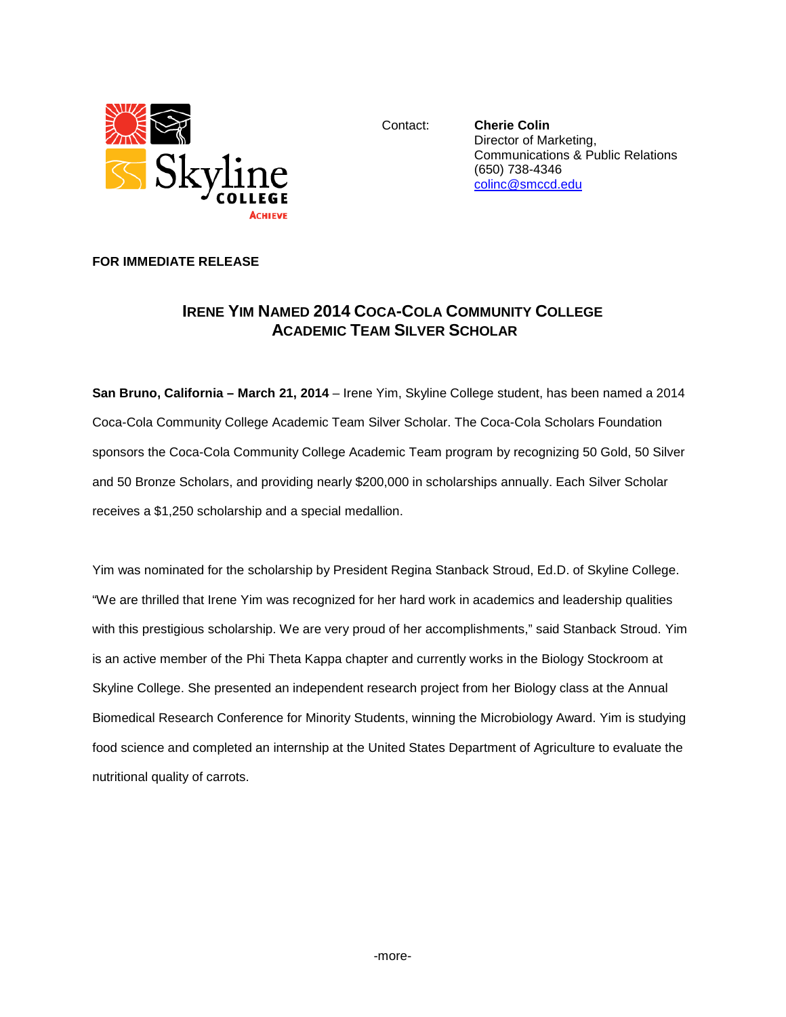

Contact: **Cherie Colin** Director of Marketing, Communications & Public Relations (650) 738-4346 [colinc@smccd.edu](mailto:colinc@smccd.edu)

## **FOR IMMEDIATE RELEASE**

## **IRENE YIM NAMED 2014 COCA-COLA COMMUNITY COLLEGE ACADEMIC TEAM SILVER SCHOLAR**

**San Bruno, California – March 21, 2014** – Irene Yim, Skyline College student, has been named a 2014 Coca-Cola Community College Academic Team Silver Scholar. The Coca-Cola Scholars Foundation sponsors the Coca-Cola Community College Academic Team program by recognizing 50 Gold, 50 Silver and 50 Bronze Scholars, and providing nearly \$200,000 in scholarships annually. Each Silver Scholar receives a \$1,250 scholarship and a special medallion.

Yim was nominated for the scholarship by President Regina Stanback Stroud, Ed.D. of Skyline College. "We are thrilled that Irene Yim was recognized for her hard work in academics and leadership qualities with this prestigious scholarship. We are very proud of her accomplishments," said Stanback Stroud. Yim is an active member of the Phi Theta Kappa chapter and currently works in the Biology Stockroom at Skyline College. She presented an independent research project from her Biology class at the Annual Biomedical Research Conference for Minority Students, winning the Microbiology Award. Yim is studying food science and completed an internship at the United States Department of Agriculture to evaluate the nutritional quality of carrots.